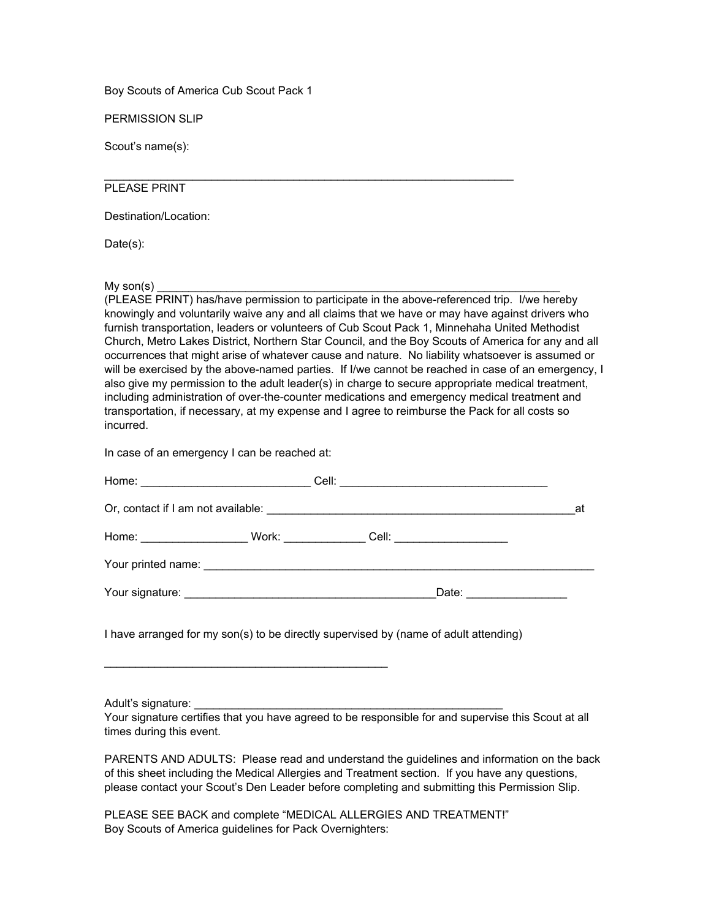Boy Scouts of America Cub Scout Pack 1

PERMISSION SLIP

Scout's name(s):

## PLEASE PRINT

Destination/Location:

Date(s):

 $My son(s)$ 

(PLEASE PRINT) has/have permission to participate in the above-referenced trip. I/we hereby knowingly and voluntarily waive any and all claims that we have or may have against drivers who furnish transportation, leaders or volunteers of Cub Scout Pack 1, Minnehaha United Methodist Church, Metro Lakes District, Northern Star Council, and the Boy Scouts of America for any and all occurrences that might arise of whatever cause and nature. No liability whatsoever is assumed or will be exercised by the above-named parties. If I/we cannot be reached in case of an emergency, I also give my permission to the adult leader(s) in charge to secure appropriate medical treatment, including administration of over-the-counter medications and emergency medical treatment and transportation, if necessary, at my expense and I agree to reimburse the Pack for all costs so incurred.

 $\mathcal{L}_\mathcal{L}$  , and the set of the set of the set of the set of the set of the set of the set of the set of the set of the set of the set of the set of the set of the set of the set of the set of the set of the set of th

In case of an emergency I can be reached at:

 $\mathcal{L}_\text{max}$  , and the contract of the contract of the contract of the contract of the contract of the contract of the contract of the contract of the contract of the contract of the contract of the contract of the contr

|                                                                                  | at |
|----------------------------------------------------------------------------------|----|
| Home: _______________________Work: ________________Cell: _______________________ |    |
|                                                                                  |    |
| Date: ______________                                                             |    |
|                                                                                  |    |

I have arranged for my son(s) to be directly supervised by (name of adult attending)

Adult's signature:

Your signature certifies that you have agreed to be responsible for and supervise this Scout at all times during this event.

PARENTS AND ADULTS: Please read and understand the guidelines and information on the back of this sheet including the Medical Allergies and Treatment section. If you have any questions, please contact your Scout's Den Leader before completing and submitting this Permission Slip.

PLEASE SEE BACK and complete "MEDICAL ALLERGIES AND TREATMENT!" Boy Scouts of America guidelines for Pack Overnighters: